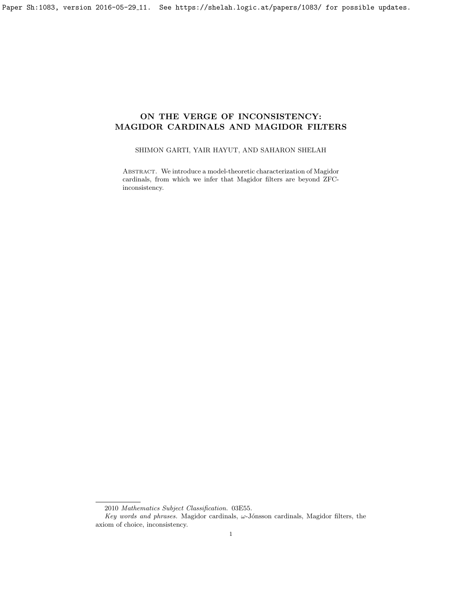# ON THE VERGE OF INCONSISTENCY: MAGIDOR CARDINALS AND MAGIDOR FILTERS

# SHIMON GARTI, YAIR HAYUT, AND SAHARON SHELAH

Abstract. We introduce a model-theoretic characterization of Magidor cardinals, from which we infer that Magidor filters are beyond ZFCinconsistency.

<sup>2010</sup> Mathematics Subject Classification. 03E55.

Key words and phrases. Magidor cardinals,  $\omega$ -Jónsson cardinals, Magidor filters, the axiom of choice, inconsistency.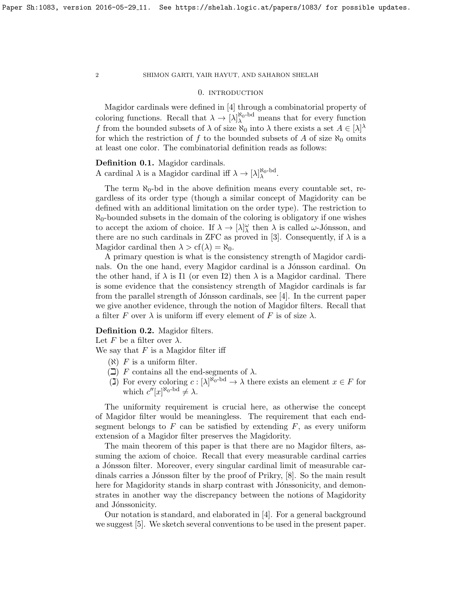### 0. introduction

Magidor cardinals were defined in [\[4\]](#page-13-0) through a combinatorial property of coloring functions. Recall that  $\lambda \to [\lambda]_{\lambda}^{\aleph_0 - \text{bd}}$  means that for every function f from the bounded subsets of  $\lambda$  of size  $\aleph_0$  into  $\lambda$  there exists a set  $A \in [\lambda]^{\lambda}$ for which the restriction of f to the bounded subsets of A of size  $\aleph_0$  omits at least one color. The combinatorial definition reads as follows:

Definition 0.1. Magidor cardinals.

A cardinal  $\lambda$  is a Magidor cardinal iff  $\lambda \to [\lambda]_{\lambda}^{\aleph_0 - \text{bd}}$ .

The term  $\aleph_0$ -bd in the above definition means every countable set, regardless of its order type (though a similar concept of Magidority can be defined with an additional limitation on the order type). The restriction to  $\aleph_0$ -bounded subsets in the domain of the coloring is obligatory if one wishes to accept the axiom of choice. If  $\lambda \to [\lambda]_{\lambda}^{\omega}$  then  $\lambda$  is called  $\omega$ -Jónsson, and there are no such cardinals in ZFC as proved in [\[3\]](#page-13-1). Consequently, if  $\lambda$  is a Magidor cardinal then  $\lambda > cf(\lambda) = \aleph_0$ .

A primary question is what is the consistency strength of Magidor cardinals. On the one hand, every Magidor cardinal is a Jónsson cardinal. On the other hand, if  $\lambda$  is I1 (or even I2) then  $\lambda$  is a Magidor cardinal. There is some evidence that the consistency strength of Magidor cardinals is far from the parallel strength of Jónsson cardinals, see  $[4]$ . In the current paper we give another evidence, through the notion of Magidor filters. Recall that a filter F over  $\lambda$  is uniform iff every element of F is of size  $\lambda$ .

## Definition 0.2. Magidor filters.

Let F be a filter over  $\lambda$ .

We say that  $F$  is a Magidor filter iff

- $(\aleph)$  F is a uniform filter.
- $(\Box)$  F contains all the end-segments of  $\lambda$ .
- $\tilde{L}(\mathbf{I})$  For every coloring  $c: [\lambda]^{\aleph_0 \mathrm{bd}} \to \lambda$  there exists an element  $x \in F$  for which  $c''[x]^{\aleph_0-\mathrm{bd}} \neq \lambda$ .

The uniformity requirement is crucial here, as otherwise the concept of Magidor filter would be meaningless. The requirement that each endsegment belongs to  $F$  can be satisfied by extending  $F$ , as every uniform extension of a Magidor filter preserves the Magidority.

The main theorem of this paper is that there are no Magidor filters, assuming the axiom of choice. Recall that every measurable cardinal carries a Jónsson filter. Moreover, every singular cardinal limit of measurable car-dinals carries a Jónsson filter by the proof of Prikry, [\[8\]](#page-13-2). So the main result here for Magidority stands in sharp contrast with Jónssonicity, and demonstrates in another way the discrepancy between the notions of Magidority and Jónssonicity.

Our notation is standard, and elaborated in [\[4\]](#page-13-0). For a general background we suggest [\[5\]](#page-13-3). We sketch several conventions to be used in the present paper.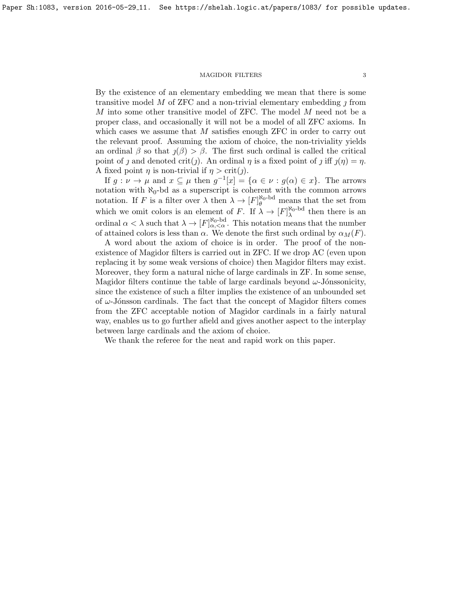By the existence of an elementary embedding we mean that there is some transitive model M of ZFC and a non-trivial elementary embedding  $\eta$  from M into some other transitive model of ZFC. The model M need not be a proper class, and occasionally it will not be a model of all ZFC axioms. In which cases we assume that  $M$  satisfies enough ZFC in order to carry out the relevant proof. Assuming the axiom of choice, the non-triviality yields an ordinal  $\beta$  so that  $\jmath(\beta) > \beta$ . The first such ordinal is called the critical point of *j* and denoted crit(*j*). An ordinal  $\eta$  is a fixed point of *j* iff  $\eta(\eta) = \eta$ . A fixed point  $\eta$  is non-trivial if  $\eta > \text{crit}(j)$ .

If  $g: \nu \to \mu$  and  $x \subseteq \mu$  then  $g^{-1}[x] = {\alpha \in \nu : g(\alpha) \in x}$ . The arrows notation with  $\aleph_0$ -bd as a superscript is coherent with the common arrows notation. If F is a filter over  $\lambda$  then  $\lambda \to [F]_{\theta}^{\aleph_0 - \text{bd}}$  means that the set from which we omit colors is an element of F. If  $\lambda \to [F]_{\lambda}^{\aleph_0 - \text{bd}}$  then there is an ordinal  $\alpha < \lambda$  such that  $\lambda \to [F]_{\alpha, <\alpha}^{\aleph_0 - \text{bd}}$ . This notation means that the number of attained colors is less than  $\alpha$ . We denote the first such ordinal by  $\alpha_M(F)$ .

A word about the axiom of choice is in order. The proof of the nonexistence of Magidor filters is carried out in ZFC. If we drop AC (even upon replacing it by some weak versions of choice) then Magidor filters may exist. Moreover, they form a natural niche of large cardinals in ZF. In some sense, Magidor filters continue the table of large cardinals beyond  $\omega$ -Jónssonicity, since the existence of such a filter implies the existence of an unbounded set of  $\omega$ -Jónsson cardinals. The fact that the concept of Magidor filters comes from the ZFC acceptable notion of Magidor cardinals in a fairly natural way, enables us to go further afield and gives another aspect to the interplay between large cardinals and the axiom of choice.

We thank the referee for the neat and rapid work on this paper.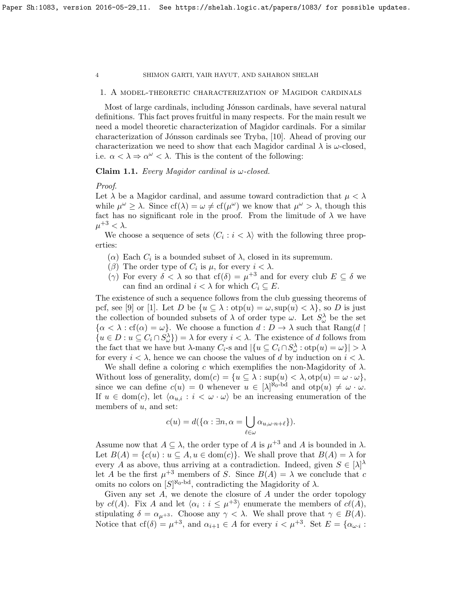### 1. A model-theoretic characterization of Magidor cardinals

Most of large cardinals, including Jónsson cardinals, have several natural definitions. This fact proves fruitful in many respects. For the main result we need a model theoretic characterization of Magidor cardinals. For a similar characterization of Jónsson cardinals see Tryba, [\[10\]](#page-13-4). Ahead of proving our characterization we need to show that each Magidor cardinal  $\lambda$  is  $\omega$ -closed, i.e.  $\alpha < \lambda \Rightarrow \alpha^{\omega} < \lambda$ . This is the content of the following:

### <span id="page-3-0"></span>Claim 1.1. Every Magidor cardinal is  $\omega$ -closed.

### Proof.

Let  $\lambda$  be a Magidor cardinal, and assume toward contradiction that  $\mu < \lambda$ while  $\mu^{\omega} \geq \lambda$ . Since  $cf(\lambda) = \omega \neq cf(\mu^{\omega})$  we know that  $\mu^{\omega} > \lambda$ , though this fact has no significant role in the proof. From the limitude of  $\lambda$  we have  $\mu^{+3} < \lambda$ .

We choose a sequence of sets  $\langle C_i : i \langle \lambda \rangle$  with the following three properties:

- ( $\alpha$ ) Each  $C_i$  is a bounded subset of  $\lambda$ , closed in its supremum.
- (β) The order type of  $C_i$  is  $\mu$ , for every  $i < \lambda$ .
- (γ) For every  $\delta < \lambda$  so that  $cf(\delta) = \mu^{+3}$  and for every club  $E \subseteq \delta$  we can find an ordinal  $i < \lambda$  for which  $C_i \subseteq E$ .

The existence of such a sequence follows from the club guessing theorems of pcf, see [\[9\]](#page-13-5) or [\[1\]](#page-13-6). Let D be  $\{u \subseteq \lambda : \text{otp}(u) = \omega, \text{sup}(u) < \lambda\}$ , so D is just the collection of bounded subsets of  $\lambda$  of order type  $\omega$ . Let  $S^{\lambda}_{\omega}$  be the set  $\{\alpha < \lambda : cf(\alpha) = \omega\}$ . We choose a function  $d : D \to \lambda$  such that Rang(d)  $\{u \in D : u \subseteq C_i \cap S_{\omega}^{\lambda}\}\) = \lambda$  for every  $i < \lambda$ . The existence of d follows from the fact that we have but  $\lambda$ -many  $C_i$ -s and  $|\{u \subseteq C_i \cap S_\omega^\lambda : \text{otp}(u) = \omega\}| > \lambda$ for every  $i < \lambda$ , hence we can choose the values of d by induction on  $i < \lambda$ .

We shall define a coloring c which exemplifies the non-Magidority of  $\lambda$ . Without loss of generality,  $dom(c) = \{u \subseteq \lambda : sup(u) < \lambda, otp(u) = \omega \cdot \omega\},\$ since we can define  $c(u) = 0$  whenever  $u \in [\lambda]^{\aleph_0 - \text{bd}}$  and  $\text{otp}(u) \neq \omega \cdot \omega$ . If  $u \in \text{dom}(c)$ , let  $\langle \alpha_{u,i} : i \langle \omega \cdot \omega \rangle$  be an increasing enumeration of the members of  $u$ , and set:

$$
c(u) = d(\{\alpha : \exists n, \alpha = \bigcup_{\ell \in \omega} \alpha_{u, \omega \cdot n + \ell}\}).
$$

Assume now that  $A \subseteq \lambda$ , the order type of A is  $\mu^{+3}$  and A is bounded in  $\lambda$ . Let  $B(A) = \{c(u) : u \subseteq A, u \in \text{dom}(c)\}\$ . We shall prove that  $B(A) = \lambda$  for every A as above, thus arriving at a contradiction. Indeed, given  $S \in |\lambda|^{\lambda}$ let A be the first  $\mu^{+3}$  members of S. Since  $B(A) = \lambda$  we conclude that c omits no colors on  $[S]^{\aleph_0-bd}$ , contradicting the Magidority of  $\lambda$ .

Given any set  $A$ , we denote the closure of  $A$  under the order topology by  $c\ell(A)$ . Fix A and let  $\langle \alpha_i : i \leq \mu^{+3} \rangle$  enumerate the members of  $c\ell(A)$ , stipulating  $\delta = \alpha_{\mu+3}$ . Choose any  $\gamma < \lambda$ . We shall prove that  $\gamma \in B(A)$ . Notice that  $cf(\delta) = \mu^{+3}$ , and  $\alpha_{i+1} \in A$  for every  $i < \mu^{+3}$ . Set  $E = {\alpha_{\omega i}}$ :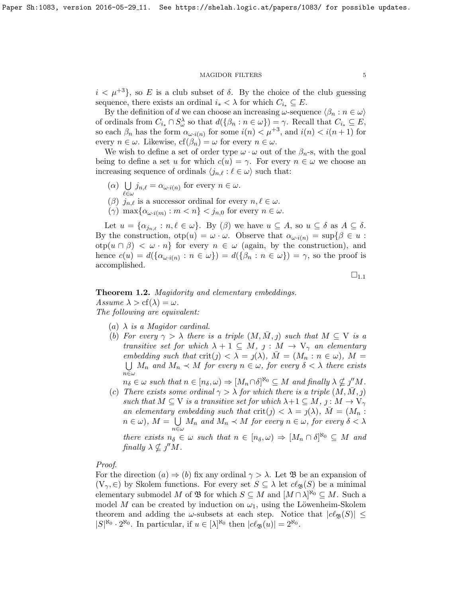$i < \mu^{+3}$ , so E is a club subset of  $\delta$ . By the choice of the club guessing sequence, there exists an ordinal  $i_* < \lambda$  for which  $C_{i_*} \subseteq E$ .

By the definition of d we can choose an increasing  $\omega$ -sequence  $\langle \beta_n : n \in \omega \rangle$ of ordinals from  $C_{i_*} \cap S_\omega^\lambda$  so that  $d(\{\beta_n : n \in \omega\}) = \gamma$ . Recall that  $C_{i_*} \subseteq E$ , so each  $\beta_n$  has the form  $\alpha_{\omega \cdot i(n)}$  for some  $i(n) < \mu^{+3}$ , and  $i(n) < i(n+1)$  for every  $n \in \omega$ . Likewise,  $cf(\beta_n) = \omega$  for every  $n \in \omega$ .

We wish to define a set of order type  $\omega \cdot \omega$  out of the  $\beta_n$ -s, with the goal being to define a set u for which  $c(u) = \gamma$ . For every  $n \in \omega$  we choose an increasing sequence of ordinals  $\langle j_{n,\ell} : \ell \in \omega \rangle$  such that:

- $(\alpha)$  U  $\bigcup_{\ell \in \omega} j_{n,\ell} = \alpha_{\omega \cdot i(n)}$  for every  $n \in \omega$ .
- ( $\beta$ )  $j_{n,\ell}$  is a successor ordinal for every  $n, \ell \in \omega$ .
- $(\gamma)$  max $\{\alpha_{\omega \cdot i(m)} : m < n\} < j_{n,0}$  for every  $n \in \omega$ .

Let  $u = \{ \alpha_{j_{n,\ell}} : n, \ell \in \omega \}$ . By  $(\beta)$  we have  $u \subseteq A$ , so  $u \subseteq \delta$  as  $A \subseteq \delta$ . By the construction,  $otp(u) = \omega \cdot \omega$ . Observe that  $\alpha_{\omega \cdot i(n)} = \sup \{ \beta \in u :$ otp $(u \cap \beta) < \omega \cdot n$  for every  $n \in \omega$  (again, by the construction), and hence  $c(u) = d(\{\alpha_{\omega \cdot i(n)} : n \in \omega\}) = d(\{\beta_n : n \in \omega\}) = \gamma$ , so the proof is accomplished.

 $\square_{1.1}$  $\square_{1.1}$  $\square_{1.1}$ 

# <span id="page-4-0"></span>**Theorem 1.2.** Magidority and elementary embeddings. Assume  $\lambda > cf(\lambda) = \omega$ . The following are equivalent:

- (a)  $\lambda$  is a Magidor cardinal.
- (b) For every  $\gamma > \lambda$  there is a triple  $(M, \overline{M}, )$  such that  $M \subseteq V$  is a transitive set for which  $\lambda + 1 \subseteq M$ ,  $j : M \rightarrow V_{\gamma}$  an elementary embedding such that  $\text{crit}(j) < \lambda = j(\lambda)$ ,  $\overline{M} = (M_n : n \in \omega)$ ,  $M =$  $\bigcup M_n$  and  $M_n \prec M$  for every  $n \in \omega$ , for every  $\delta < \lambda$  there exists  $n\bar{\in}\omega$

 $n_{\delta} \in \omega$  such that  $n \in [n_{\delta}, \omega) \Rightarrow [M_n \cap \delta]^{N_0} \subseteq M$  and finally  $\lambda \nsubseteq j''M$ .

(c) There exists some ordinal  $\gamma > \lambda$  for which there is a triple  $(M, \bar{M}, \bar{\jmath})$ such that  $M \subseteq V$  is a transitive set for which  $\lambda + 1 \subseteq M$ ,  $j : M \to V_{\gamma}$ an elementary embedding such that  $\text{crit}(\eta) < \lambda = \eta(\lambda)$ ,  $\overline{M} = (M_n :$  $n \in \omega$ ),  $M = \bigcup M_n$  and  $M_n \prec M$  for every  $n \in \omega$ , for every  $\delta < \lambda$  $n \in \omega$ there exists  $n_{\delta} \in \omega$  such that  $n \in [n_{\delta}, \omega) \Rightarrow [M_n \cap \delta]^{\aleph_0} \subseteq M$  and finally  $\lambda \nsubseteq j''M$ .

# Proof.

For the direction  $(a) \Rightarrow (b)$  fix any ordinal  $\gamma > \lambda$ . Let  $\mathfrak{B}$  be an expansion of  $(V_\gamma, \in)$  by Skolem functions. For every set  $S \subseteq \lambda$  let  $\mathcal{C}_{\mathfrak{B}}(S)$  be a minimal elementary submodel M of  $\mathfrak{B}$  for which  $S \subseteq M$  and  $[M \cap \lambda]^{\aleph_0} \subseteq M$ . Such a model M can be created by induction on  $\omega_1$ , using the Löwenheim-Skolem theorem and adding the  $\omega$ -subsets at each step. Notice that  $|c\ell_{\mathfrak{B}}(S)| \leq$  $|S|^{R_0} \cdot 2^{R_0}$ . In particular, if  $u \in [\lambda]^{R_0}$  then  $|c\ell_{\mathfrak{B}}(u)| = 2^{R_0}$ .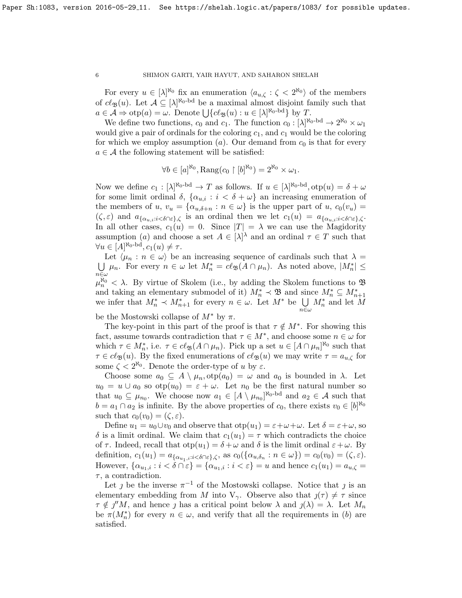For every  $u \in [\lambda]^{\aleph_0}$  fix an enumeration  $\langle a_{u,\zeta} : \zeta \langle 2^{\aleph_0} \rangle$  of the members of  $cl_{\mathfrak{B}}(u)$ . Let  $\mathcal{A} \subseteq [\lambda]^{\aleph_0 - \mathrm{bd}}$  be a maximal almost disjoint family such that  $a \in \mathcal{A} \Rightarrow \text{otp}(a) = \omega$ . Denote  $\bigcup \{c\ell_{\mathfrak{B}}(u) : u \in [\lambda]^{\aleph_0 - \text{bd}}\}$  by T.

We define two functions,  $c_0$  and  $c_1$ . The function  $c_0 : [\lambda]^{\aleph_0 - \text{bd}} \to 2^{\aleph_0} \times \omega_1$ would give a pair of ordinals for the coloring  $c_1$ , and  $c_1$  would be the coloring for which we employ assumption (a). Our demand from  $c_0$  is that for every  $a \in \mathcal{A}$  the following statement will be satisfied:

$$
\forall b \in [a]^{\aleph_0}, \text{Rang}(c_0 \upharpoonright [b]^{\aleph_0}) = 2^{\aleph_0} \times \omega_1.
$$

Now we define  $c_1 : [\lambda]^{\aleph_0 - \text{bd}} \to T$  as follows. If  $u \in [\lambda]^{\aleph_0 - \text{bd}}, \text{otp}(u) = \delta + \omega$ for some limit ordinal  $\delta$ ,  $\{\alpha_{u,i} : i < \delta + \omega\}$  an increasing enumeration of the members of u,  $v_u = {\alpha_{u,\delta+n} : n \in \omega}$  is the upper part of u,  $c_0(v_u)$  $(\zeta, \varepsilon)$  and  $a_{\{\alpha_{u,i}:i\leq \delta\cap\varepsilon\},\zeta}$  is an ordinal then we let  $c_1(u) = a_{\{\alpha_{u,i}:i\leq \delta\cap\varepsilon\},\zeta}$ . In all other cases,  $c_1(u) = 0$ . Since  $|T| = \lambda$  we can use the Magidority assumption (a) and choose a set  $A \in |\lambda|^{\lambda}$  and an ordinal  $\tau \in T$  such that  $\forall u \in [A]^{\aleph_0 \text{-bd}}, c_1(u) \neq \tau.$ 

Let  $\langle \mu_n : n \in \omega \rangle$  be an increasing sequence of cardinals such that  $\lambda =$ U  $\bigcup_{n\in\omega}\mu_n$ . For every  $n\in\omega$  let  $M_n^* = c\ell_{\mathfrak{B}}(A\cap\mu_n)$ . As noted above,  $|M_n^*| \leq$  $\mu_n^{\aleph_0} < \lambda$ . By virtue of Skolem (i.e., by adding the Skolem functions to  $\mathfrak B$ and taking an elementary submodel of it)  $M_n^* \prec \mathfrak{B}$  and since  $M_n^* \subseteq M_{n+1}^*$ we infer that  $M_n^* \prec M_{n+1}^*$  for every  $n \in \omega$ . Let  $M^*$  be  $\bigcup_{n \in \omega}$  $M_n^*$  and let  $M$ 

be the Mostowski collapse of  $M^*$  by  $\pi$ .

The key-point in this part of the proof is that  $\tau \notin M^*$ . For showing this fact, assume towards contradiction that  $\tau \in M^*$ , and choose some  $n \in \omega$  for which  $\tau \in M_n^*$ , i.e.  $\tau \in cl_{\mathfrak{B}}(A \cap \mu_n)$ . Pick up a set  $u \in [A \cap \mu_n]^{\aleph_0}$  such that  $\tau \in c\ell_{\mathfrak{B}}(u)$ . By the fixed enumerations of  $c\ell_{\mathfrak{B}}(u)$  we may write  $\tau = a_{u,\zeta}$  for some  $\zeta < 2^{\aleph_0}$ . Denote the order-type of u by  $\varepsilon$ .

Choose some  $a_0 \subseteq A \setminus \mu_n$ ,  $otp(a_0) = \omega$  and  $a_0$  is bounded in  $\lambda$ . Let  $u_0 = u \cup a_0$  so  $otp(u_0) = \varepsilon + \omega$ . Let  $n_0$  be the first natural number so that  $u_0 \subseteq \mu_{n_0}$ . We choose now  $a_1 \in [A \setminus \mu_{n_0}]^{\aleph_0 - \text{bd}}$  and  $a_2 \in \mathcal{A}$  such that  $b = a_1 \cap a_2$  is infinite. By the above properties of  $c_0$ , there exists  $v_0 \in [b]^{\aleph_0}$ such that  $c_0(v_0) = (\zeta, \varepsilon)$ .

Define  $u_1 = u_0 \cup v_0$  and observe that  $otp(u_1) = \varepsilon + \omega + \omega$ . Let  $\delta = \varepsilon + \omega$ , so δ is a limit ordinal. We claim that  $c_1(u_1) = \tau$  which contradicts the choice of  $\tau$ . Indeed, recall that  $otp(u_1) = \delta + \omega$  and  $\delta$  is the limit ordinal  $\varepsilon + \omega$ . By definition,  $c_1(u_1) = a_{\{\alpha_{u_1,i}:i < \delta \cap \varepsilon\},\zeta}$ , as  $c_0(\{\alpha_{u,\delta_n}:n \in \omega\}) = c_0(v_0) = (\zeta,\varepsilon)$ . However,  $\{\alpha_{u_1,i} : i < \delta \cap \varepsilon\} = \{\alpha_{u_1,i} : i < \varepsilon\} = u$  and hence  $c_1(u_1) = a_{u,\zeta} = u$  $\tau$ , a contradiction.

Let *j* be the inverse  $\pi^{-1}$  of the Mostowski collapse. Notice that *j* is an elementary embedding from M into  $V_{\gamma}$ . Observe also that  $j(\tau) \neq \tau$  since  $\tau \notin \jmath^{\prime\prime}M$ , and hence  $\jmath$  has a critical point below  $\lambda$  and  $\jmath(\lambda) = \lambda$ . Let  $M_n$ be  $\pi(M_n^*)$  for every  $n \in \omega$ , and verify that all the requirements in (b) are satisfied.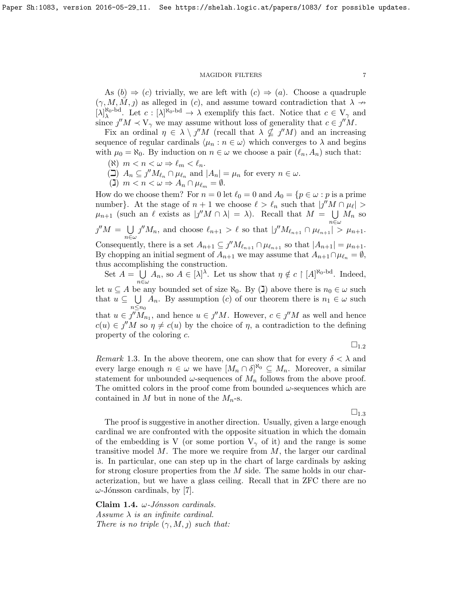As  $(b) \Rightarrow (c)$  trivially, we are left with  $(c) \Rightarrow (a)$ . Choose a quadruple  $(\gamma, M, M, j)$  as alleged in (c), and assume toward contradiction that  $\lambda \rightarrow$  $[\lambda]_{\lambda}^{\aleph_0 - \mathrm{bd}}$ . Let  $c : [\lambda]^{\aleph_0 - \mathrm{bd}} \to \lambda$  exemplify this fact. Notice that  $c \in V_{\gamma}$  and since  $j''M \prec V_{\gamma}$  we may assume without loss of generality that  $c \in j''M$ .

Fix an ordinal  $\eta \in \lambda \setminus \jmath''M$  (recall that  $\lambda \nsubseteq \jmath''M$ ) and an increasing sequence of regular cardinals  $\langle \mu_n : n \in \omega \rangle$  which converges to  $\lambda$  and begins with  $\mu_0 = \aleph_0$ . By induction on  $n \in \omega$  we choose a pair  $(\ell_n, A_n)$  such that:

- ( $\aleph$ )  $m < n < \omega \Rightarrow \ell_m < \ell_n$ .
- $\left(\square\right) A_n \subseteq \jmath'' M_{\ell_n} \cap \mu_{\ell_n}$  and  $|A_n| = \mu_n$  for every  $n \in \omega$ .
- (**1**)  $m < n < \omega \Rightarrow A_n \cap \mu_{\ell_m} = \emptyset$ .

How do we choose them? For  $n = 0$  let  $\ell_0 = 0$  and  $A_0 = \{p \in \omega : p$  is a prime number}. At the stage of  $n + 1$  we choose  $\ell > \ell_n$  such that  $|j'M \cap \mu_{\ell}| >$  $\mu_{n+1}$  (such an  $\ell$  exists as  $|j''M \cap \lambda| = \lambda$ ). Recall that  $M = \bigcup$  $\bigcup_{n\in\omega}M_n$  so  $j''M = \bigcup$  $n\in\omega$  $j''M_n$ , and choose  $\ell_{n+1} > \ell$  so that  $|j''M_{\ell_{n+1}} \cap \mu_{\ell_{n+1}}| > \mu_{n+1}$ . Consequently, there is a set  $A_{n+1} \subseteq \jmath'' M_{\ell_{n+1}} \cap \mu_{\ell_{n+1}}$  so that  $|A_{n+1}| = \mu_{n+1}$ . By chopping an initial segment of  $A_{n+1}$  we may assume that  $A_{n+1} \cap \mu_{\ell_n} = \emptyset$ , thus accomplishing the construction.

Set  $A = \bigcup$  $\bigcup_{n \in \omega} A_n$ , so  $A \in [\lambda]^\lambda$ . Let us show that  $\eta \notin c \restriction [A]^{\aleph_0 - \text{bd}}$ . Indeed, let  $u \subseteq A$  be any bounded set of size  $\aleph_0$ . By (**J**) above there is  $n_0 \in \omega$  such that  $u \subseteq \bigcup A_n$ . By assumption (c) of our theorem there is  $n_1 \in \omega$  such  $n\leq n_0$ that  $u \in j^{\prime\prime}M_{n_1}$ , and hence  $u \in j^{\prime\prime}M$ . However,  $c \in j^{\prime\prime}M$  as well and hence  $c(u) \in \jmath''M$  so  $\eta \neq c(u)$  by the choice of  $\eta$ , a contradiction to the defining property of the coloring c.

 $\square_{1.2}$  $\square_{1.2}$  $\square_{1.2}$ 

<span id="page-6-0"></span>*Remark* 1.3. In the above theorem, one can show that for every  $\delta < \lambda$  and every large enough  $n \in \omega$  we have  $[M_n \cap \delta]^{k_0} \subseteq M_n$ . Moreover, a similar statement for unbounded  $\omega$ -sequences of  $M_n$  follows from the above proof. The omitted colors in the proof come from bounded  $\omega$ -sequences which are contained in M but in none of the  $M_n$ -s.

 $\square_{1.3}$  $\square_{1.3}$  $\square_{1.3}$ 

The proof is suggestive in another direction. Usually, given a large enough cardinal we are confronted with the opposite situation in which the domain of the embedding is V (or some portion  $V_{\gamma}$  of it) and the range is some transitive model  $M$ . The more we require from  $M$ , the larger our cardinal is. In particular, one can step up in the chart of large cardinals by asking for strong closure properties from the  $M$  side. The same holds in our characterization, but we have a glass ceiling. Recall that in ZFC there are no  $\omega$ -Jónsson cardinals, by [\[7\]](#page-13-7).

<span id="page-6-1"></span>Claim 1.4.  $\omega$ -Jónsson cardinals. Assume  $\lambda$  is an infinite cardinal. There is no triple  $(\gamma, M, \eta)$  such that: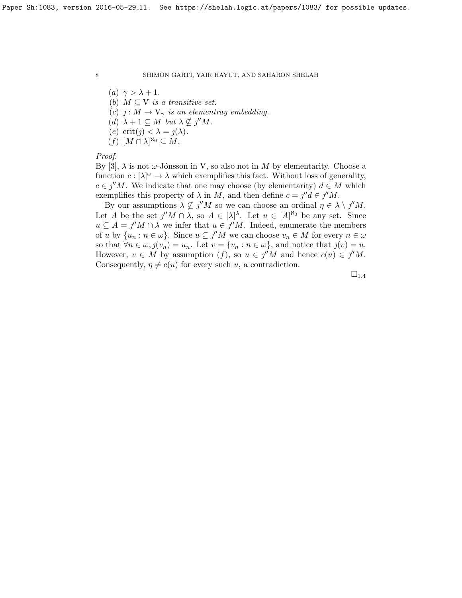(a)  $\gamma > \lambda + 1$ . (b)  $M \subseteq V$  is a transitive set. (c)  $j: M \to V_{\gamma}$  is an elementray embedding. (d)  $\lambda + 1 \subseteq M$  but  $\lambda \nsubseteq j''M$ . (e) crit(j)  $< \lambda = \jmath(\lambda)$ .  $(f)$   $[M \cap \lambda]^{\aleph_0} \subseteq M$ .

Proof.

By [\[3\]](#page-13-1),  $\lambda$  is not  $\omega$ -Jónsson in V, so also not in M by elementarity. Choose a function  $c: [\lambda]^\omega \to \lambda$  which exemplifies this fact. Without loss of generality,  $c \in \jmath''M$ . We indicate that one may choose (by elementarity)  $d \in M$  which exemplifies this property of  $\lambda$  in M, and then define  $c = \jmath''d \in \jmath''M$ .

By our assumptions  $\lambda \nsubseteq \nsubseteq' M$  so we can choose an ordinal  $\eta \in \lambda \setminus \jmath''M$ . Let A be the set  $j''M \cap \lambda$ , so  $A \in [\lambda]^{\lambda}$ . Let  $u \in [A]^{\aleph_0}$  be any set. Since  $u \subseteq A = \jmath''M \cap \lambda$  we infer that  $u \in \jmath''M$ . Indeed, enumerate the members of u by  $\{u_n : n \in \omega\}$ . Since  $u \subseteq j''M$  we can choose  $v_n \in M$  for every  $n \in \omega$ so that  $\forall n \in \omega, j(v_n) = u_n$ . Let  $v = \{v_n : n \in \omega\}$ , and notice that  $j(v) = u$ . However,  $v \in M$  by assumption  $(f)$ , so  $u \in j^{\prime\prime}M$  and hence  $c(u) \in j^{\prime\prime}M$ . Consequently,  $\eta \neq c(u)$  for every such u, a contradiction.

 $\square_{1.4}$  $\square_{1.4}$  $\square_{1.4}$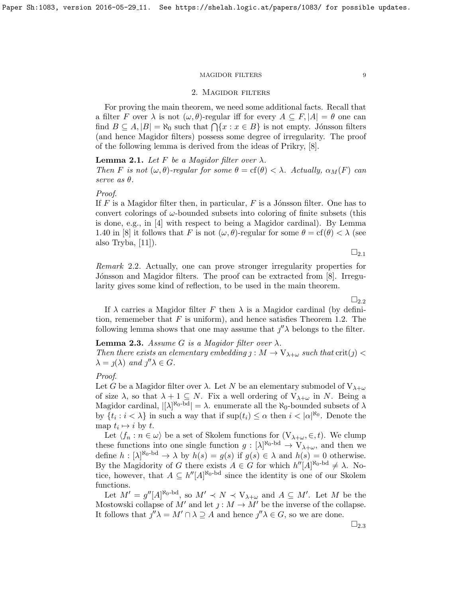# 2. Magidor filters

For proving the main theorem, we need some additional facts. Recall that a filter F over  $\lambda$  is not  $(\omega, \theta)$ -regular iff for every  $A \subseteq F$ ,  $|A| = \theta$  one can find  $B \subseteq A, |B| = \aleph_0$  such that  $\bigcap \{x : x \in B\}$  is not empty. Jónsson filters (and hence Magidor filters) possess some degree of irregularity. The proof of the following lemma is derived from the ideas of Prikry, [\[8\]](#page-13-2).

### <span id="page-8-0"></span>**Lemma 2.1.** Let F be a Magidor filter over  $\lambda$ .

Then F is not  $(\omega, \theta)$ -regular for some  $\theta = \text{cf}(\theta) < \lambda$ . Actually,  $\alpha_M(F)$  can serve as  $\theta$ .

### Proof.

If  $F$  is a Magidor filter then, in particular,  $F$  is a Jónsson filter. One has to convert colorings of  $\omega$ -bounded subsets into coloring of finite subsets (this is done, e.g., in [\[4\]](#page-13-0) with respect to being a Magidor cardinal). By Lemma 1.40 in [\[8\]](#page-13-2) it follows that F is not  $(\omega, \theta)$ -regular for some  $\theta = \text{cf}(\theta) < \lambda$  (see also Tryba,  $|11|$ ).

 $\square_{2.1}$  $\square_{2.1}$  $\square_{2.1}$ 

<span id="page-8-1"></span>Remark 2.2. Actually, one can prove stronger irregularity properties for Jónsson and Magidor filters. The proof can be extracted from [\[8\]](#page-13-2). Irregularity gives some kind of reflection, to be used in the main theorem.

 $\Box_{2.2}$  $\Box_{2.2}$  $\Box_{2.2}$ 

If  $\lambda$  carries a Magidor filter F then  $\lambda$  is a Magidor cardinal (by definition, rememeber that  $F$  is uniform), and hence satisfies Theorem [1.2.](#page-4-0) The following lemma shows that one may assume that  $\int'' \lambda$  belongs to the filter.

# <span id="page-8-2"></span>**Lemma 2.3.** Assume G is a Magidor filter over  $\lambda$ .

Then there exists an elementary embedding  $j: M \to V_{\lambda+\omega}$  such that  $\text{crit}(j)$  $\lambda = \jmath(\lambda)$  and  $\jmath''\lambda \in G$ .

# Proof.

Let G be a Magidor filter over  $\lambda$ . Let N be an elementary submodel of  $V_{\lambda+\omega}$ of size  $\lambda$ , so that  $\lambda + 1 \subseteq N$ . Fix a well ordering of  $V_{\lambda+\omega}$  in N. Being a Magidor cardinal,  $|[\lambda]^{\aleph_0 - bd}| = \lambda$ . enumerate all the  $\aleph_0$ -bounded subsets of  $\lambda$ by  $\{t_i : i < \lambda\}$  in such a way that if  $\sup(t_i) \leq \alpha$  then  $i < |\alpha|^{\aleph_0}$ . Denote the map  $t_i \mapsto i$  by  $t$ .

Let  $\langle f_n : n \in \omega \rangle$  be a set of Skolem functions for  $(V_{\lambda+\omega}, \in, t)$ . We clump these functions into one single function  $g: [\lambda]^{\aleph_0 - \mathrm{bd}} \to \mathrm{V}_{\lambda+\omega}$ , and then we define  $h: [\lambda]^{\aleph_0 - \mathrm{bd}} \to \lambda$  by  $h(s) = g(s)$  if  $g(s) \in \lambda$  and  $h(s) = 0$  otherwise. By the Magidority of G there exists  $A \in G$  for which  $h''[A]^{\aleph_0 - \text{bd}} \neq \lambda$ . Notice, however, that  $A \subseteq h''[A]^{\aleph_0 - \text{bd}}$  since the identity is one of our Skolem functions.

Let  $M' = g''[A]^{\aleph_0 - bd}$ , so  $M' \prec N \prec V_{\lambda + \omega}$  and  $A \subseteq M'$ . Let M be the Mostowski collapse of M' and let  $j : M \to M'$  be the inverse of the collapse. It follows that  $j''\lambda = M' \cap \lambda \supseteq A$  and hence  $j''\lambda \in G$ , so we are done.

 $\square_{2.3}$  $\square_{2.3}$  $\square_{2.3}$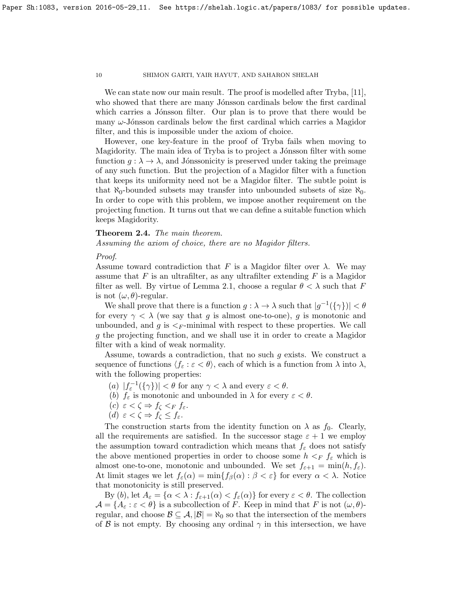We can state now our main result. The proof is modelled after Tryba, [\[11\]](#page-13-8), who showed that there are many Jónsson cardinals below the first cardinal which carries a Jónsson filter. Our plan is to prove that there would be many  $\omega$ -Jónsson cardinals below the first cardinal which carries a Magidor filter, and this is impossible under the axiom of choice.

However, one key-feature in the proof of Tryba fails when moving to Magidority. The main idea of Tryba is to project a Jónsson filter with some function  $g: \lambda \to \lambda$ , and Jónssonicity is preserved under taking the preimage of any such function. But the projection of a Magidor filter with a function that keeps its uniformity need not be a Magidor filter. The subtle point is that  $\aleph_0$ -bounded subsets may transfer into unbounded subsets of size  $\aleph_0$ . In order to cope with this problem, we impose another requirement on the projecting function. It turns out that we can define a suitable function which keeps Magidority.

# <span id="page-9-0"></span>Theorem 2.4. The main theorem.

Assuming the axiom of choice, there are no Magidor filters.

Proof.

Assume toward contradiction that F is a Magidor filter over  $\lambda$ . We may assume that  $F$  is an ultrafilter, as any ultrafilter extending  $F$  is a Magidor filter as well. By virtue of Lemma [2.1,](#page-8-0) choose a regular  $\theta < \lambda$  such that F is not  $(\omega, \theta)$ -regular.

We shall prove that there is a function  $g: \lambda \to \lambda$  such that  $|g^{-1}(\{\gamma\})| < \theta$ for every  $\gamma < \lambda$  (we say that g is almost one-to-one), g is monotonic and unbounded, and g is  $\leq_F$ -minimal with respect to these properties. We call g the projecting function, and we shall use it in order to create a Magidor filter with a kind of weak normality.

Assume, towards a contradiction, that no such g exists. We construct a sequence of functions  $\langle f_{\varepsilon} : \varepsilon < \theta \rangle$ , each of which is a function from  $\lambda$  into  $\lambda$ , with the following properties:

- (a)  $|f_{\varepsilon}^{-1}(\{\gamma\})| < \theta$  for any  $\gamma < \lambda$  and every  $\varepsilon < \theta$ .
- (b)  $f_{\varepsilon}$  is monotonic and unbounded in  $\lambda$  for every  $\varepsilon < \theta$ .
- (c)  $\varepsilon < \zeta \Rightarrow f_{\zeta} <_F f_{\varepsilon}$ .
- (d)  $\varepsilon < \zeta \Rightarrow f_{\zeta} \leq f_{\varepsilon}$ .

The construction starts from the identity function on  $\lambda$  as  $f_0$ . Clearly, all the requirements are satisfied. In the successor stage  $\varepsilon + 1$  we employ the assumption toward contradiction which means that  $f_{\varepsilon}$  does not satisfy the above mentioned properties in order to choose some  $h \leq_F f_{\varepsilon}$  which is almost one-to-one, monotonic and unbounded. We set  $f_{\varepsilon+1} = \min(h, f_{\varepsilon})$ . At limit stages we let  $f_{\varepsilon}(\alpha) = \min\{f_{\beta}(\alpha): \beta < \varepsilon\}$  for every  $\alpha < \lambda$ . Notice that monotonicity is still preserved.

By (b), let  $A_{\varepsilon} = {\alpha < \lambda : f_{\varepsilon+1}(\alpha) < f_{\varepsilon}(\alpha)}$  for every  $\varepsilon < \theta$ . The collection  $\mathcal{A} = \{A_\varepsilon : \varepsilon < \theta\}$  is a subcollection of F. Keep in mind that F is not  $(\omega, \theta)$ regular, and choose  $\mathcal{B} \subseteq \mathcal{A}, |\mathcal{B}| = \aleph_0$  so that the intersection of the members of B is not empty. By choosing any ordinal  $\gamma$  in this intersection, we have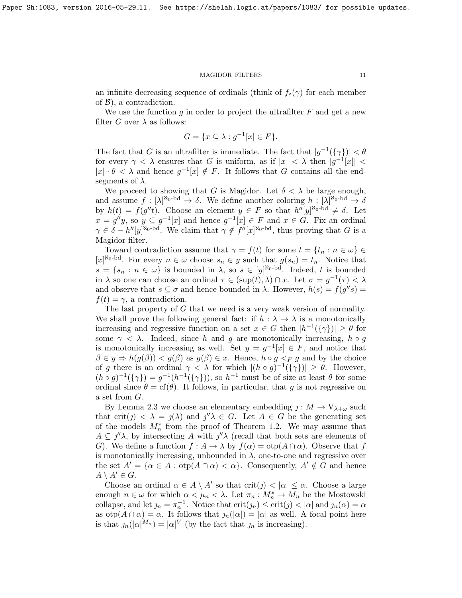an infinite decreasing sequence of ordinals (think of  $f_{\varepsilon}(\gamma)$  for each member of  $\mathcal{B}$ ), a contradiction.

We use the function g in order to project the ultrafilter  $F$  and get a new filter G over  $\lambda$  as follows:

$$
G = \{ x \subseteq \lambda : g^{-1}[x] \in F \}.
$$

The fact that G is an ultrafilter is immediate. The fact that  $|g^{-1}(\{\gamma\})| < \theta$ for every  $\gamma < \lambda$  ensures that G is uniform, as if  $|x| < \lambda$  then  $|g^{-1}[x]| <$  $|x| \cdot \theta < \lambda$  and hence  $g^{-1}[x] \notin F$ . It follows that G contains all the endsegments of  $\lambda$ .

We proceed to showing that G is Magidor. Let  $\delta < \lambda$  be large enough, and assume  $f : [\lambda]^{\aleph_0 - \mathrm{bd}} \to \delta$ . We define another coloring  $h : [\lambda]^{\aleph_0 - \mathrm{bd}} \to \delta$ by  $h(t) = f(g''t)$ . Choose an element  $y \in F$  so that  $h''[y]^{\aleph_0 - \text{bd}} \neq \delta$ . Let  $x = g''y$ , so  $y \subseteq g^{-1}[x]$  and hence  $g^{-1}[x] \in F$  and  $x \in G$ . Fix an ordinal  $\gamma \in \delta - h''[y]^{\aleph_0 - \mathrm{bd}}$ . We claim that  $\gamma \notin f''[x]^{\aleph_0 - \mathrm{bd}}$ , thus proving that G is a Magidor filter.

Toward contradiction assume that  $\gamma = f(t)$  for some  $t = \{t_n : n \in \omega\}$  $[x]^{N_0-\mathrm{bd}}$ . For every  $n \in \omega$  choose  $s_n \in y$  such that  $g(s_n) = t_n$ . Notice that  $s = \{s_n : n \in \omega\}$  is bounded in  $\lambda$ , so  $s \in [y]^{\aleph_0 - \mathrm{bd}}$ . Indeed, t is bounded in  $\lambda$  so one can choose an ordinal  $\tau \in (\text{sup}(t), \lambda) \cap x$ . Let  $\sigma = g^{-1}(\tau) < \lambda$ and observe that  $s \subseteq \sigma$  and hence bounded in  $\lambda$ . However,  $h(s) = f(g''s)$  $f(t) = \gamma$ , a contradiction.

The last property of G that we need is a very weak version of normality. We shall prove the following general fact: if  $h : \lambda \to \lambda$  is a monotonically increasing and regressive function on a set  $x \in G$  then  $|h^{-1}(\{\gamma\})| \ge \theta$  for some  $\gamma < \lambda$ . Indeed, since h and g are monotonically increasing,  $h \circ g$ is monotonically increasing as well. Set  $y = g^{-1}[x] \in F$ , and notice that  $\beta \in y \Rightarrow h(g(\beta)) < g(\beta)$  as  $g(\beta) \in x$ . Hence,  $h \circ g <_F g$  and by the choice of g there is an ordinal  $\gamma < \lambda$  for which  $|(h \circ g)^{-1}(\{\gamma\})| \ge \theta$ . However,  $(h \circ g)^{-1}(\{\gamma\}) = g^{-1}(h^{-1}(\{\gamma\}))$ , so  $h^{-1}$  must be of size at least  $\theta$  for some ordinal since  $\theta = cf(\theta)$ . It follows, in particular, that g is not regressive on a set from G.

By Lemma [2.3](#page-8-2) we choose an elementary embedding  $j: M \to V_{\lambda+\omega}$  such that crit(j)  $\langle \lambda = \jmath(\lambda)$  and  $\jmath''\lambda \in G$ . Let  $A \in G$  be the generating set of the models  $M_n^*$  from the proof of Theorem [1.2.](#page-4-0) We may assume that  $A \subseteq \mathcal{J}'\lambda$ , by intersecting A with  $\mathcal{J}'\lambda$  (recall that both sets are elements of G). We define a function  $f : A \to \lambda$  by  $f(\alpha) = \text{otp}(A \cap \alpha)$ . Observe that f is monotonically increasing, unbounded in  $\lambda$ , one-to-one and regressive over the set  $A' = {\alpha \in A : \text{otp}(A \cap \alpha) < \alpha}$ . Consequently,  $A' \notin G$  and hence  $A \setminus A' \in G$ .

Choose an ordinal  $\alpha \in A \setminus A'$  so that  $\text{crit}(j) < |\alpha| \leq \alpha$ . Choose a large enough  $n \in \omega$  for which  $\alpha < \mu_n < \lambda$ . Let  $\pi_n : M_n^* \to M_n$  be the Mostowski collapse, and let  $j_n = \pi_n^{-1}$ . Notice that  $\text{crit}(j_n) \leq \text{crit}(j) < |\alpha|$  and  $j_n(\alpha) = \alpha$ as  $otp(A \cap \alpha) = \alpha$ . It follows that  $\jmath_n(|\alpha|) = |\alpha|$  as well. A focal point here is that  $\chi_n(|\alpha|^{M_n}) = |\alpha|^V$  (by the fact that  $\chi_n$  is increasing).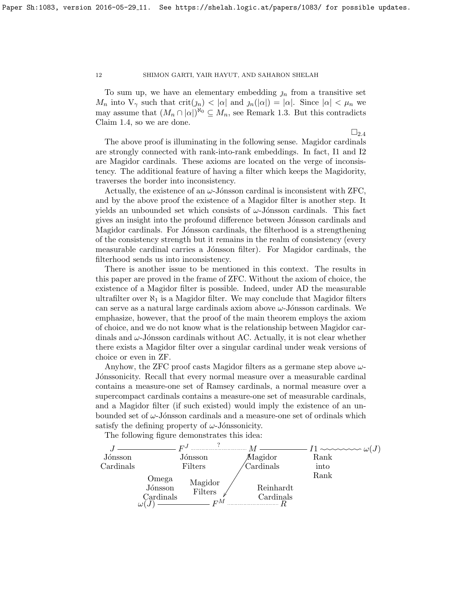To sum up, we have an elementary embedding  $n$  from a transitive set  $M_n$  into  $V_\gamma$  such that  $\mathrm{crit}(n) < |\alpha|$  and  $\mathrm{ln}(|\alpha|) = |\alpha|$ . Since  $|\alpha| < \mu_n$  we may assume that  $(M_n \cap |\alpha|)^{\aleph_0} \subseteq M_n$ , see Remark [1.3.](#page-6-0) But this contradicts Claim [1.4,](#page-6-1) so we are done.

 $\square_{2.4}$  $\square_{2.4}$  $\square_{2.4}$ 

The above proof is illuminating in the following sense. Magidor cardinals are strongly connected with rank-into-rank embeddings. In fact, I1 and I2 are Magidor cardinals. These axioms are located on the verge of inconsistency. The additional feature of having a filter which keeps the Magidority, traverses the border into inconsistency.

Actually, the existence of an  $\omega$ -Jónsson cardinal is inconsistent with ZFC, and by the above proof the existence of a Magidor filter is another step. It yields an unbounded set which consists of  $\omega$ -Jónsson cardinals. This fact gives an insight into the profound difference between Jónsson cardinals and Magidor cardinals. For Jónsson cardinals, the filterhood is a strengthening of the consistency strength but it remains in the realm of consistency (every measurable cardinal carries a Jónsson filter). For Magidor cardinals, the filterhood sends us into inconsistency.

There is another issue to be mentioned in this context. The results in this paper are proved in the frame of ZFC. Without the axiom of choice, the existence of a Magidor filter is possible. Indeed, under AD the measurable ultrafilter over  $\aleph_1$  is a Magidor filter. We may conclude that Magidor filters can serve as a natural large cardinals axiom above  $\omega$ -Jónsson cardinals. We emphasize, however, that the proof of the main theorem employs the axiom of choice, and we do not know what is the relationship between Magidor cardinals and  $\omega$ -Jónsson cardinals without AC. Actually, it is not clear whether there exists a Magidor filter over a singular cardinal under weak versions of choice or even in ZF.

Anyhow, the ZFC proof casts Magidor filters as a germane step above  $\omega$ -Jónssonicity. Recall that every normal measure over a measurable cardinal contains a measure-one set of Ramsey cardinals, a normal measure over a supercompact cardinals contains a measure-one set of measurable cardinals, and a Magidor filter (if such existed) would imply the existence of an unbounded set of  $\omega$ -Jónsson cardinals and a measure-one set of ordinals which satisfy the defining property of  $\omega$ -Jónssonicity.

The following figure demonstrates this idea:

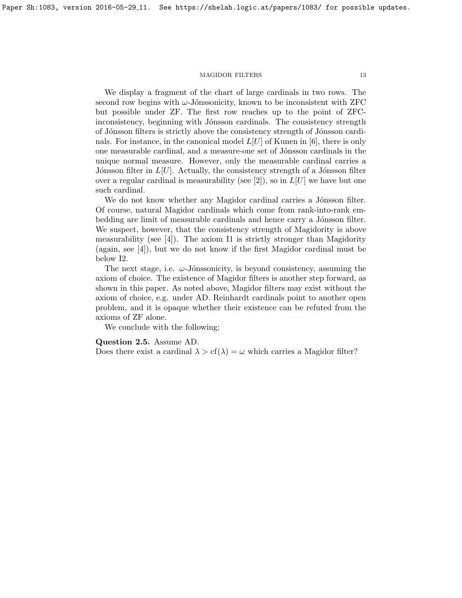We display a fragment of the chart of large cardinals in two rows. The second row begins with  $\omega$ -Jónssonicity, known to be inconsistent with ZFC but possible under ZF. The first row reaches up to the point of ZFCinconsistency, beginning with Jónsson cardinals. The consistency strength of Jónsson filters is strictly above the consistency strength of Jónsson cardinals. For instance, in the canonical model  $L[U]$  of Kunen in [\[6\]](#page-13-9), there is only one measurable cardinal, and a measure-one set of J´onsson cardinals in the unique normal measure. However, only the measurable cardinal carries a Jónsson filter in  $L[U]$ . Actually, the consistency strength of a Jónsson filter over a regular cardinal is measurability (see [\[2\]](#page-13-10)), so in  $L[U]$  we have but one such cardinal.

We do not know whether any Magidor cardinal carries a Jónsson filter. Of course, natural Magidor cardinals which come from rank-into-rank embedding are limit of measurable cardinals and hence carry a Jónsson filter. We suspect, however, that the consistency strength of Magidority is above measurability (see [\[4\]](#page-13-0)). The axiom I1 is strictly stronger than Magidority (again, see [\[4\]](#page-13-0)), but we do not know if the first Magidor cardinal must be below I2.

The next stage, i.e.  $\omega$ -Jónssonicity, is beyond consistency, assuming the axiom of choice. The existence of Magidor filters is another step forward, as shown in this paper. As noted above, Magidor filters may exist without the axiom of choice, e.g. under AD. Reinhardt cardinals point to another open problem, and it is opaque whether their existence can be refuted from the axioms of ZF alone.

We conclude with the following:

### Question 2.5. Assume AD.

Does there exist a cardinal  $\lambda > cf(\lambda) = \omega$  which carries a Magidor filter?